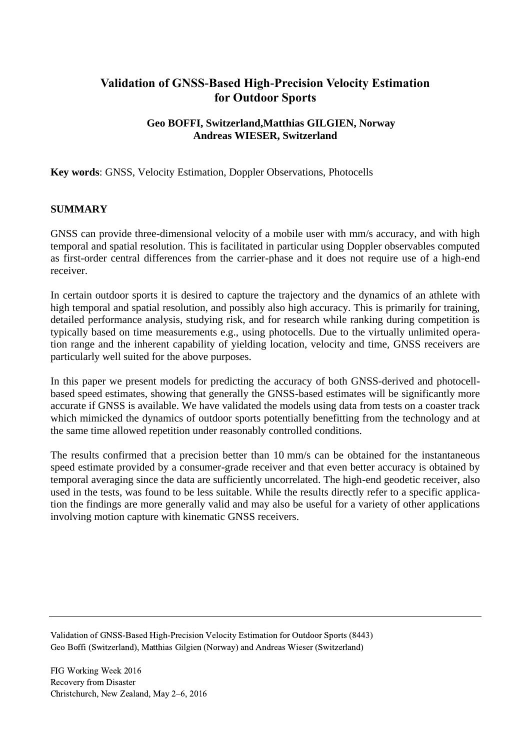# **Validation of GNSS-Based High-Precision Velocity Estimation for Outdoor Sports**

## **Geo BOFFI, Switzerland,Matthias GILGIEN, Norway Andreas WIESER, Switzerland**

**Key words**: GNSS, Velocity Estimation, Doppler Observations, Photocells

### **SUMMARY**

GNSS can provide three-dimensional velocity of a mobile user with mm/s accuracy, and with high temporal and spatial resolution. This is facilitated in particular using Doppler observables computed as first-order central differences from the carrier-phase and it does not require use of a high-end receiver.

In certain outdoor sports it is desired to capture the trajectory and the dynamics of an athlete with high temporal and spatial resolution, and possibly also high accuracy. This is primarily for training, detailed performance analysis, studying risk, and for research while ranking during competition is typically based on time measurements e.g., using photocells. Due to the virtually unlimited operation range and the inherent capability of yielding location, velocity and time, GNSS receivers are particularly well suited for the above purposes.

In this paper we present models for predicting the accuracy of both GNSS-derived and photocellbased speed estimates, showing that generally the GNSS-based estimates will be significantly more accurate if GNSS is available. We have validated the models using data from tests on a coaster track which mimicked the dynamics of outdoor sports potentially benefitting from the technology and at the same time allowed repetition under reasonably controlled conditions.

The results confirmed that a precision better than 10 mm/s can be obtained for the instantaneous speed estimate provided by a consumer-grade receiver and that even better accuracy is obtained by temporal averaging since the data are sufficiently uncorrelated. The high-end geodetic receiver, also used in the tests, was found to be less suitable. While the results directly refer to a specific application the findings are more generally valid and may also be useful for a variety of other applications involving motion capture with kinematic GNSS receivers.

Validation of GNSS-Based High-Precision Velocity Estimation for Outdoor Sports (8443) Geo Boffi (Switzerland), Matthias Gilgien (Norway) and Andreas Wieser (Switzerland)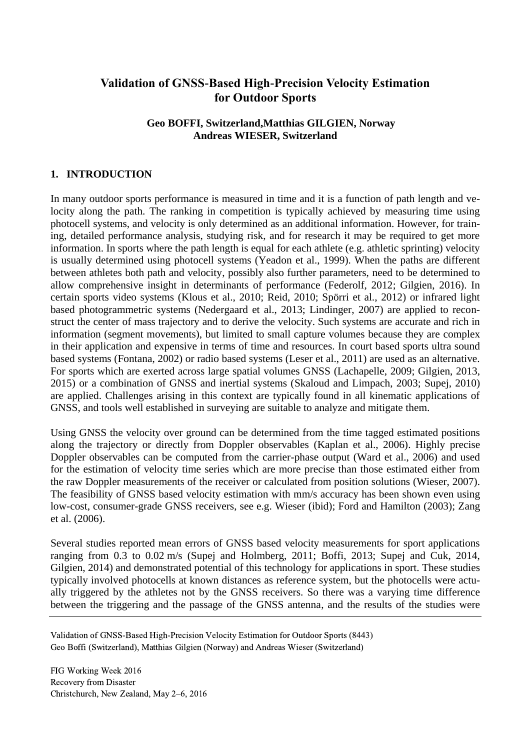# **Validation of GNSS-Based High-Precision Velocity Estimation for Outdoor Sports**

### **Geo BOFFI, Switzerland,Matthias GILGIEN, Norway Andreas WIESER, Switzerland**

# **1. INTRODUCTION**

In many outdoor sports performance is measured in time and it is a function of path length and velocity along the path. The ranking in competition is typically achieved by measuring time using photocell systems, and velocity is only determined as an additional information. However, for training, detailed performance analysis, studying risk, and for research it may be required to get more information. In sports where the path length is equal for each athlete (e.g. athletic sprinting) velocity is usually determined using photocell systems (Yeadon et al., 1999). When the paths are different between athletes both path and velocity, possibly also further parameters, need to be determined to allow comprehensive insight in determinants of performance (Federolf, 2012; Gilgien, 2016). In certain sports video systems (Klous et al., 2010; Reid, 2010; Spörri et al., 2012) or infrared light based photogrammetric systems (Nedergaard et al., 2013; Lindinger, 2007) are applied to reconstruct the center of mass trajectory and to derive the velocity. Such systems are accurate and rich in information (segment movements), but limited to small capture volumes because they are complex in their application and expensive in terms of time and resources. In court based sports ultra sound based systems (Fontana, 2002) or radio based systems (Leser et al., 2011) are used as an alternative. For sports which are exerted across large spatial volumes GNSS (Lachapelle, 2009; Gilgien, 2013, 2015) or a combination of GNSS and inertial systems (Skaloud and Limpach, 2003; Supej, 2010) are applied. Challenges arising in this context are typically found in all kinematic applications of GNSS, and tools well established in surveying are suitable to analyze and mitigate them.

Using GNSS the velocity over ground can be determined from the time tagged estimated positions along the trajectory or directly from Doppler observables (Kaplan et al., 2006). Highly precise Doppler observables can be computed from the carrier-phase output (Ward et al., 2006) and used for the estimation of velocity time series which are more precise than those estimated either from the raw Doppler measurements of the receiver or calculated from position solutions (Wieser, 2007). The feasibility of GNSS based velocity estimation with mm/s accuracy has been shown even using low-cost, consumer-grade GNSS receivers, see e.g. Wieser (ibid); Ford and Hamilton (2003); Zang et al. (2006).

Several studies reported mean errors of GNSS based velocity measurements for sport applications ranging from 0.3 to 0.02 m/s (Supej and Holmberg, 2011; Boffi, 2013; Supej and Cuk, 2014, Gilgien, 2014) and demonstrated potential of this technology for applications in sport. These studies typically involved photocells at known distances as reference system, but the photocells were actually triggered by the athletes not by the GNSS receivers. So there was a varying time difference between the triggering and the passage of the GNSS antenna, and the results of the studies were

Validation of GNSS-Based High-Precision Velocity Estimation for Outdoor Sports (8443) Geo Boffi (Switzerland), Matthias Gilgien (Norway) and Andreas Wieser (Switzerland)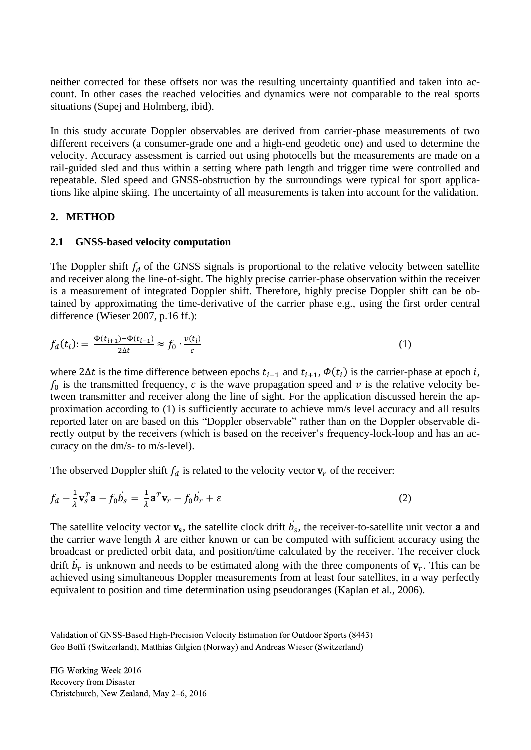neither corrected for these offsets nor was the resulting uncertainty quantified and taken into account. In other cases the reached velocities and dynamics were not comparable to the real sports situations (Supej and Holmberg, ibid).

In this study accurate Doppler observables are derived from carrier-phase measurements of two different receivers (a consumer-grade one and a high-end geodetic one) and used to determine the velocity. Accuracy assessment is carried out using photocells but the measurements are made on a rail-guided sled and thus within a setting where path length and trigger time were controlled and repeatable. Sled speed and GNSS-obstruction by the surroundings were typical for sport applications like alpine skiing. The uncertainty of all measurements is taken into account for the validation.

### **2. METHOD**

### **2.1 GNSS-based velocity computation**

The Doppler shift  $f_d$  of the GNSS signals is proportional to the relative velocity between satellite and receiver along the line-of-sight. The highly precise carrier-phase observation within the receiver is a measurement of integrated Doppler shift. Therefore, highly precise Doppler shift can be obtained by approximating the time-derivative of the carrier phase e.g., using the first order central difference (Wieser 2007, p.16 ff.):

$$
f_d(t_i) := \frac{\Phi(t_{i+1}) - \Phi(t_{i-1})}{2\Delta t} \approx f_0 \cdot \frac{v(t_i)}{c}
$$
 (1)

where  $2\Delta t$  is the time difference between epochs  $t_{i-1}$  and  $t_{i+1}$ ,  $\phi(t_i)$  is the carrier-phase at epoch *i*,  $f_0$  is the transmitted frequency, c is the wave propagation speed and  $\nu$  is the relative velocity between transmitter and receiver along the line of sight. For the application discussed herein the approximation according to (1) is sufficiently accurate to achieve mm/s level accuracy and all results reported later on are based on this "Doppler observable" rather than on the Doppler observable directly output by the receivers (which is based on the receiver's frequency-lock-loop and has an accuracy on the dm/s- to m/s-level).

The observed Doppler shift  $f_d$  is related to the velocity vector  $v_r$  of the receiver:

$$
f_d - \frac{1}{\lambda} \mathbf{v}_s^T \mathbf{a} - f_0 \dot{b}_s = \frac{1}{\lambda} \mathbf{a}^T \mathbf{v}_r - f_0 \dot{b}_r + \varepsilon
$$
 (2)

The satellite velocity vector  $v_s$ , the satellite clock drift  $b_s$ , the receiver-to-satellite unit vector **a** and ֦ the carrier wave length  $\lambda$  are either known or can be computed with sufficient accuracy using the broadcast or predicted orbit data, and position/time calculated by the receiver. The receiver clock drift  $b_r$  is unknown and needs to be estimated along with the three components of  $v_r$ . This can be ֦ achieved using simultaneous Doppler measurements from at least four satellites, in a way perfectly equivalent to position and time determination using pseudoranges (Kaplan et al., 2006).

Validation of GNSS-Based High-Precision Velocity Estimation for Outdoor Sports (8443) Geo Boffi (Switzerland), Matthias Gilgien (Norway) and Andreas Wieser (Switzerland)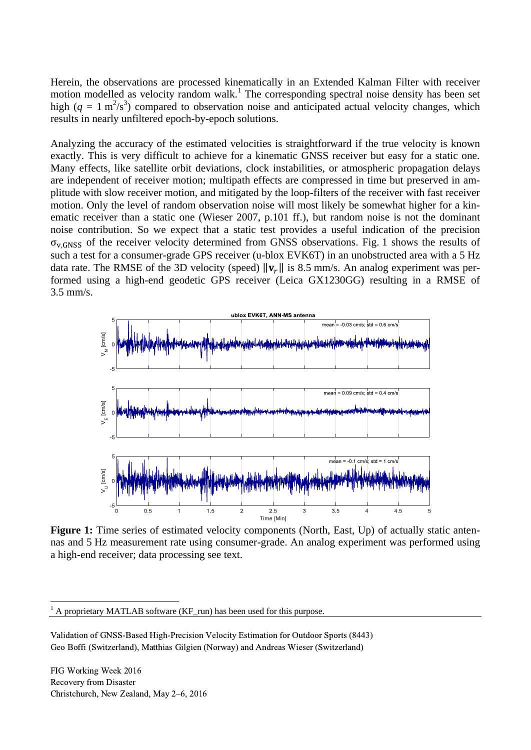Herein, the observations are processed kinematically in an Extended Kalman Filter with receiver motion modelled as velocity random walk.<sup>1</sup> The corresponding spectral noise density has been set high  $(q = 1 \text{ m}^2/\text{s}^3)$  compared to observation noise and anticipated actual velocity changes, which results in nearly unfiltered epoch-by-epoch solutions.

Analyzing the accuracy of the estimated velocities is straightforward if the true velocity is known exactly. This is very difficult to achieve for a kinematic GNSS receiver but easy for a static one. Many effects, like satellite orbit deviations, clock instabilities, or atmospheric propagation delays are independent of receiver motion; multipath effects are compressed in time but preserved in amplitude with slow receiver motion, and mitigated by the loop-filters of the receiver with fast receiver motion. Only the level of random observation noise will most likely be somewhat higher for a kinematic receiver than a static one (Wieser 2007, p.101 ff.), but random noise is not the dominant noise contribution. So we expect that a static test provides a useful indication of the precision  $\sigma_{v,GNSS}$  of the receiver velocity determined from GNSS observations. Fig. 1 shows the results of such a test for a consumer-grade GPS receiver (u-blox EVK6T) in an unobstructed area with a 5 Hz data rate. The RMSE of the 3D velocity (speed)  $\|\mathbf{v}_r\|$  is 8.5 mm/s. An analog experiment was performed using a high-end geodetic GPS receiver (Leica GX1230GG) resulting in a RMSE of 3.5 mm/s.



**Figure 1:** Time series of estimated velocity components (North, East, Up) of actually static antennas and 5 Hz measurement rate using consumer-grade. An analog experiment was performed using a high-end receiver; data processing see text.

FIG Working Week 2016 Recovery from Disaster Christchurch, New Zealand, May 2–6, 2016

 $\overline{a}$ 

 $<sup>1</sup>$  A proprietary MATLAB software (KF\_run) has been used for this purpose.</sup>

Validation of GNSS-Based High-Precision Velocity Estimation for Outdoor Sports (8443) Geo Boffi (Switzerland), Matthias Gilgien (Norway) and Andreas Wieser (Switzerland)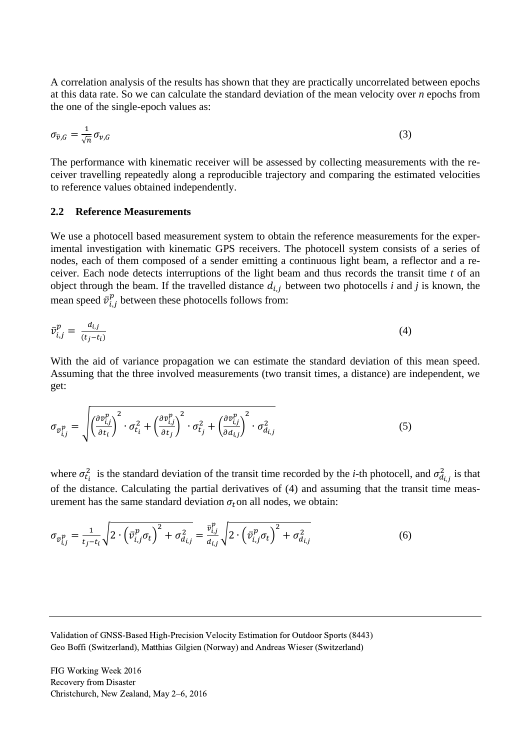A correlation analysis of the results has shown that they are practically uncorrelated between epochs at this data rate. So we can calculate the standard deviation of the mean velocity over *n* epochs from the one of the single-epoch values as:

$$
\sigma_{\bar{v},G} = \frac{1}{\sqrt{n}} \sigma_{v,G} \tag{3}
$$

The performance with kinematic receiver will be assessed by collecting measurements with the receiver travelling repeatedly along a reproducible trajectory and comparing the estimated velocities to reference values obtained independently.

#### **2.2 Reference Measurements**

We use a photocell based measurement system to obtain the reference measurements for the experimental investigation with kinematic GPS receivers. The photocell system consists of a series of nodes, each of them composed of a sender emitting a continuous light beam, a reflector and a receiver. Each node detects interruptions of the light beam and thus records the transit time *t* of an object through the beam. If the travelled distance  $d_{i,j}$  between two photocells *i* and *j* is known, the mean speed  $\bar{v}^p_{i,j}$  $\sum_{i=1}^{p}$  between these photocells follows from:

$$
\bar{v}_{i,j}^p = \frac{d_{i,j}}{(t_j - t_i)}
$$
\n<sup>(4)</sup>

With the aid of variance propagation we can estimate the standard deviation of this mean speed. Assuming that the three involved measurements (two transit times, a distance) are independent, we get:

$$
\sigma_{\bar{v}_{i,j}^p} = \sqrt{\left(\frac{\partial \bar{v}_{i,j}^p}{\partial t_i}\right)^2 \cdot \sigma_{t_i}^2 + \left(\frac{\partial \bar{v}_{i,j}^p}{\partial t_j}\right)^2 \cdot \sigma_{t_j}^2 + \left(\frac{\partial \bar{v}_{i,j}^p}{\partial d_{i,j}}\right)^2 \cdot \sigma_{d_{i,j}}^2}
$$
(5)

where  $\sigma_{t_i}^2$  is the standard deviation of the transit time recorded by the *i*-th photocell, and  $\sigma_{d_{i,j}}^2$  is that of the distance. Calculating the partial derivatives of (4) and assuming that the transit time measurement has the same standard deviation  $\sigma_t$  on all nodes, we obtain:

$$
\sigma_{\bar{v}_{i,j}^p} = \frac{1}{t_j - t_i} \sqrt{2 \cdot \left(\bar{v}_{i,j}^p \sigma_t\right)^2 + \sigma_{d_{i,j}}^2} = \frac{\bar{v}_{i,j}^p}{d_{i,j}} \sqrt{2 \cdot \left(\bar{v}_{i,j}^p \sigma_t\right)^2 + \sigma_{d_{i,j}}^2}
$$
(6)

Validation of GNSS-Based High-Precision Velocity Estimation for Outdoor Sports (8443) Geo Boffi (Switzerland), Matthias Gilgien (Norway) and Andreas Wieser (Switzerland)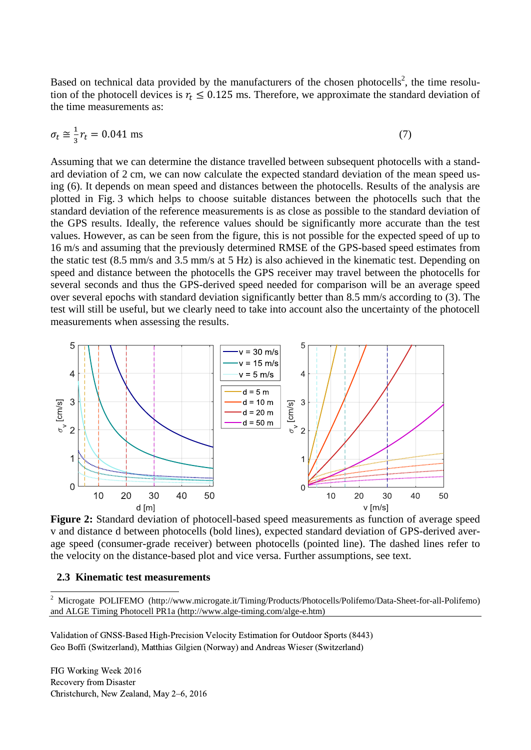Based on technical data provided by the manufacturers of the chosen photocells<sup>2</sup>, the time resolution of the photocell devices is  $r_t \leq 0.125$  ms. Therefore, we approximate the standard deviation of the time measurements as:

$$
\sigma_t \approx \frac{1}{3}r_t = 0.041 \text{ ms}
$$
\n<sup>(7)</sup>

Assuming that we can determine the distance travelled between subsequent photocells with a standard deviation of 2 cm, we can now calculate the expected standard deviation of the mean speed using (6). It depends on mean speed and distances between the photocells. Results of the analysis are plotted in Fig. 3 which helps to choose suitable distances between the photocells such that the standard deviation of the reference measurements is as close as possible to the standard deviation of the GPS results. Ideally, the reference values should be significantly more accurate than the test values. However, as can be seen from the figure, this is not possible for the expected speed of up to 16 m/s and assuming that the previously determined RMSE of the GPS-based speed estimates from the static test (8.5 mm/s and 3.5 mm/s at 5 Hz) is also achieved in the kinematic test. Depending on speed and distance between the photocells the GPS receiver may travel between the photocells for several seconds and thus the GPS-derived speed needed for comparison will be an average speed over several epochs with standard deviation significantly better than 8.5 mm/s according to (3). The test will still be useful, but we clearly need to take into account also the uncertainty of the photocell measurements when assessing the results.



**Figure 2:** Standard deviation of photocell-based speed measurements as function of average speed v and distance d between photocells (bold lines), expected standard deviation of GPS-derived average speed (consumer-grade receiver) between photocells (pointed line). The dashed lines refer to the velocity on the distance-based plot and vice versa. Further assumptions, see text.

### **2.3 Kinematic test measurements**

Validation of GNSS-Based High-Precision Velocity Estimation for Outdoor Sports (8443) Geo Boffi (Switzerland), Matthias Gilgien (Norway) and Andreas Wieser (Switzerland)

 $\overline{\mathbf{c}}$ <sup>2</sup> Microgate POLIFEMO (http://www.microgate.it/Timing/Products/Photocells/Polifemo/Data-Sheet-for-all-Polifemo) and ALGE Timing Photocell PR1a (http://www.alge-timing.com/alge-e.htm)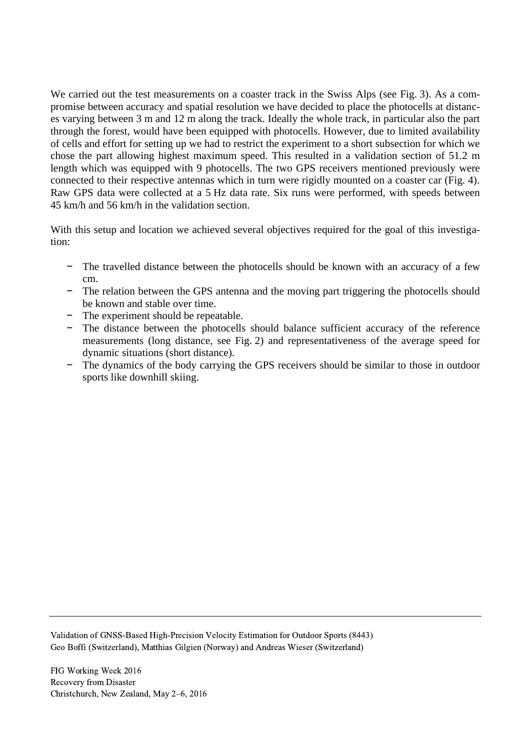We carried out the test measurements on a coaster track in the Swiss Alps (see Fig. 3). As a compromise between accuracy and spatial resolution we have decided to place the photocells at distances varying between 3 m and 12 m along the track. Ideally the whole track, in particular also the part through the forest, would have been equipped with photocells. However, due to limited availability of cells and effort for setting up we had to restrict the experiment to a short subsection for which we chose the part allowing highest maximum speed. This resulted in a validation section of 51.2 m length which was equipped with 9 photocells. The two GPS receivers mentioned previously were connected to their respective antennas which in turn were rigidly mounted on a coaster car (Fig. 4). Raw GPS data were collected at a 5 Hz data rate. Six runs were performed, with speeds between 45 km/h and 56 km/h in the validation section.

With this setup and location we achieved several objectives required for the goal of this investigation:

- − The travelled distance between the photocells should be known with an accuracy of a few cm.
- − The relation between the GPS antenna and the moving part triggering the photocells should be known and stable over time.
- − The experiment should be repeatable.
- − The distance between the photocells should balance sufficient accuracy of the reference measurements (long distance, see Fig. 2) and representativeness of the average speed for dynamic situations (short distance).
- − The dynamics of the body carrying the GPS receivers should be similar to those in outdoor sports like downhill skiing.

Validation of GNSS-Based High-Precision Velocity Estimation for Outdoor Sports (8443) Geo Boffi (Switzerland), Matthias Gilgien (Norway) and Andreas Wieser (Switzerland)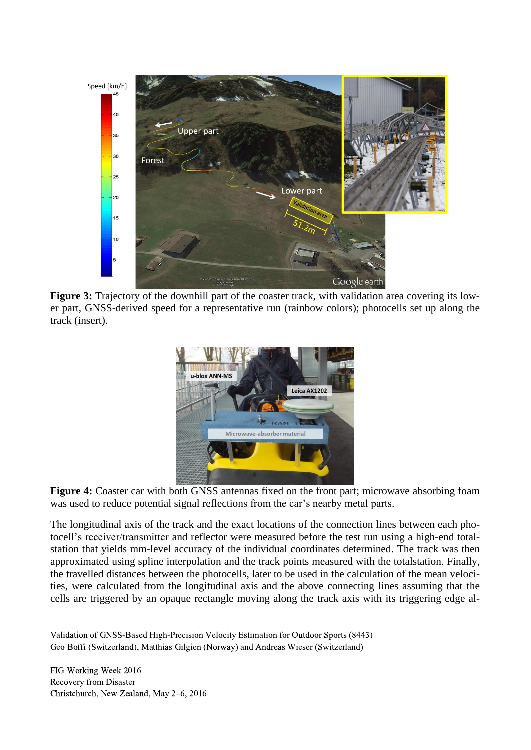

**Figure 3:** Trajectory of the downhill part of the coaster track, with validation area covering its lower part, GNSS-derived speed for a representative run (rainbow colors); photocells set up along the track (insert).



Figure 4: Coaster car with both GNSS antennas fixed on the front part; microwave absorbing foam was used to reduce potential signal reflections from the car's nearby metal parts.

The longitudinal axis of the track and the exact locations of the connection lines between each photocell's receiver/transmitter and reflector were measured before the test run using a high-end totalstation that yields mm-level accuracy of the individual coordinates determined. The track was then approximated using spline interpolation and the track points measured with the totalstation. Finally, the travelled distances between the photocells, later to be used in the calculation of the mean velocities, were calculated from the longitudinal axis and the above connecting lines assuming that the cells are triggered by an opaque rectangle moving along the track axis with its triggering edge al-

Validation of GNSS-Based High-Precision Velocity Estimation for Outdoor Sports (8443) Geo Boffi (Switzerland), Matthias Gilgien (Norway) and Andreas Wieser (Switzerland)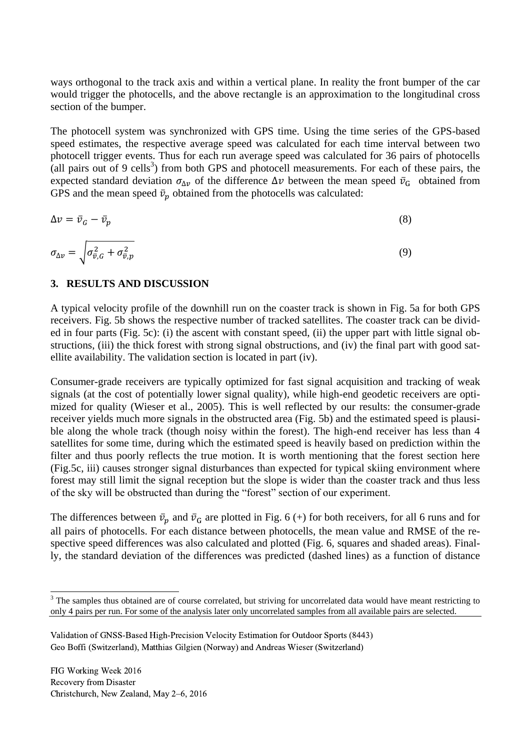ways orthogonal to the track axis and within a vertical plane. In reality the front bumper of the car would trigger the photocells, and the above rectangle is an approximation to the longitudinal cross section of the bumper.

The photocell system was synchronized with GPS time. Using the time series of the GPS-based speed estimates, the respective average speed was calculated for each time interval between two photocell trigger events. Thus for each run average speed was calculated for 36 pairs of photocells (all pairs out of 9 cells<sup>3</sup>) from both GPS and photocell measurements. For each of these pairs, the expected standard deviation  $\sigma_{\Delta \nu}$  of the difference  $\Delta \nu$  between the mean speed  $\bar{v}_G$  obtained from GPS and the mean speed  $\bar{v}_p$  obtained from the photocells was calculated:

$$
\Delta v = \bar{v}_G - \bar{v}_p \tag{8}
$$

$$
\sigma_{\Delta v} = \sqrt{\sigma_{\bar{v},G}^2 + \sigma_{\bar{v},p}^2}
$$
\n(9)

### **3. RESULTS AND DISCUSSION**

A typical velocity profile of the downhill run on the coaster track is shown in Fig. 5a for both GPS receivers. Fig. 5b shows the respective number of tracked satellites. The coaster track can be divided in four parts (Fig. 5c): (i) the ascent with constant speed, (ii) the upper part with little signal obstructions, (iii) the thick forest with strong signal obstructions, and (iv) the final part with good satellite availability. The validation section is located in part (iv).

Consumer-grade receivers are typically optimized for fast signal acquisition and tracking of weak signals (at the cost of potentially lower signal quality), while high-end geodetic receivers are optimized for quality (Wieser et al., 2005). This is well reflected by our results: the consumer-grade receiver yields much more signals in the obstructed area (Fig. 5b) and the estimated speed is plausible along the whole track (though noisy within the forest). The high-end receiver has less than 4 satellites for some time, during which the estimated speed is heavily based on prediction within the filter and thus poorly reflects the true motion. It is worth mentioning that the forest section here (Fig.5c, iii) causes stronger signal disturbances than expected for typical skiing environment where forest may still limit the signal reception but the slope is wider than the coaster track and thus less of the sky will be obstructed than during the "forest" section of our experiment.

The differences between  $\bar{v}_p$  and  $\bar{v}_G$  are plotted in Fig. 6 (+) for both receivers, for all 6 runs and for all pairs of photocells. For each distance between photocells, the mean value and RMSE of the respective speed differences was also calculated and plotted (Fig. 6, squares and shaded areas). Finally, the standard deviation of the differences was predicted (dashed lines) as a function of distance

 $\overline{a}$ 

<sup>&</sup>lt;sup>3</sup> The samples thus obtained are of course correlated, but striving for uncorrelated data would have meant restricting to only 4 pairs per run. For some of the analysis later only uncorrelated samples from all available pairs are selected.

Validation of GNSS-Based High-Precision Velocity Estimation for Outdoor Sports (8443) Geo Boffi (Switzerland), Matthias Gilgien (Norway) and Andreas Wieser (Switzerland)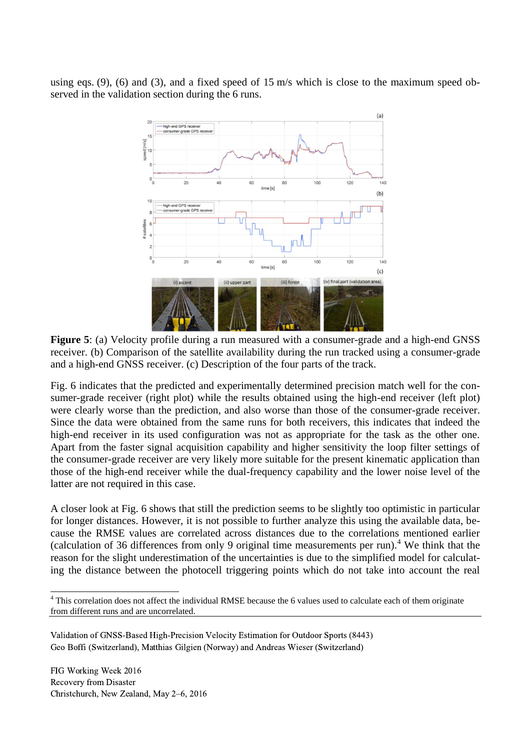using eqs. (9), (6) and (3), and a fixed speed of 15 m/s which is close to the maximum speed observed in the validation section during the 6 runs.



**Figure 5**: (a) Velocity profile during a run measured with a consumer-grade and a high-end GNSS receiver. (b) Comparison of the satellite availability during the run tracked using a consumer-grade and a high-end GNSS receiver. (c) Description of the four parts of the track.

Fig. 6 indicates that the predicted and experimentally determined precision match well for the consumer-grade receiver (right plot) while the results obtained using the high-end receiver (left plot) were clearly worse than the prediction, and also worse than those of the consumer-grade receiver. Since the data were obtained from the same runs for both receivers, this indicates that indeed the high-end receiver in its used configuration was not as appropriate for the task as the other one. Apart from the faster signal acquisition capability and higher sensitivity the loop filter settings of the consumer-grade receiver are very likely more suitable for the present kinematic application than those of the high-end receiver while the dual-frequency capability and the lower noise level of the latter are not required in this case.

A closer look at Fig. 6 shows that still the prediction seems to be slightly too optimistic in particular for longer distances. However, it is not possible to further analyze this using the available data, because the RMSE values are correlated across distances due to the correlations mentioned earlier (calculation of 36 differences from only 9 original time measurements per run).<sup>4</sup> We think that the reason for the slight underestimation of the uncertainties is due to the simplified model for calculating the distance between the photocell triggering points which do not take into account the real

 $\overline{a}$  $4$  This correlation does not affect the individual RMSE because the 6 values used to calculate each of them originate from different runs and are uncorrelated.

Validation of GNSS-Based High-Precision Velocity Estimation for Outdoor Sports (8443) Geo Boffi (Switzerland), Matthias Gilgien (Norway) and Andreas Wieser (Switzerland)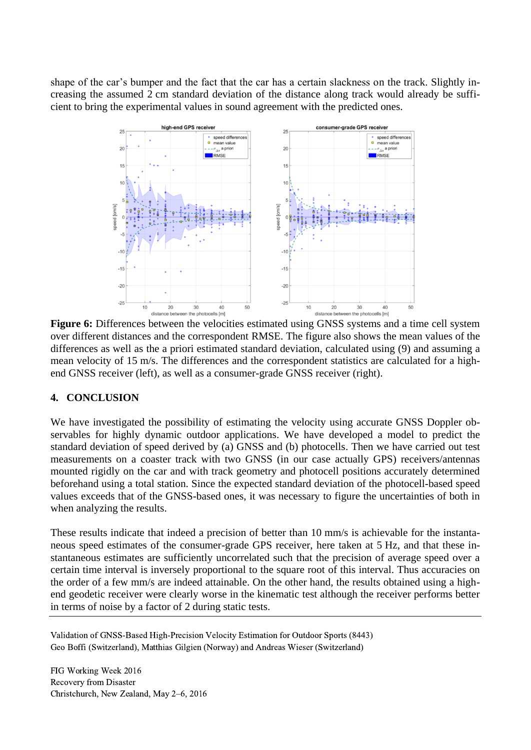shape of the car's bumper and the fact that the car has a certain slackness on the track. Slightly increasing the assumed 2 cm standard deviation of the distance along track would already be sufficient to bring the experimental values in sound agreement with the predicted ones.



**Figure 6:** Differences between the velocities estimated using GNSS systems and a time cell system over different distances and the correspondent RMSE. The figure also shows the mean values of the differences as well as the a priori estimated standard deviation, calculated using (9) and assuming a mean velocity of 15 m/s. The differences and the correspondent statistics are calculated for a highend GNSS receiver (left), as well as a consumer-grade GNSS receiver (right).

# **4. CONCLUSION**

We have investigated the possibility of estimating the velocity using accurate GNSS Doppler observables for highly dynamic outdoor applications. We have developed a model to predict the standard deviation of speed derived by (a) GNSS and (b) photocells. Then we have carried out test measurements on a coaster track with two GNSS (in our case actually GPS) receivers/antennas mounted rigidly on the car and with track geometry and photocell positions accurately determined beforehand using a total station. Since the expected standard deviation of the photocell-based speed values exceeds that of the GNSS-based ones, it was necessary to figure the uncertainties of both in when analyzing the results.

These results indicate that indeed a precision of better than 10 mm/s is achievable for the instantaneous speed estimates of the consumer-grade GPS receiver, here taken at 5 Hz, and that these instantaneous estimates are sufficiently uncorrelated such that the precision of average speed over a certain time interval is inversely proportional to the square root of this interval. Thus accuracies on the order of a few mm/s are indeed attainable. On the other hand, the results obtained using a highend geodetic receiver were clearly worse in the kinematic test although the receiver performs better in terms of noise by a factor of 2 during static tests.

Validation of GNSS-Based High-Precision Velocity Estimation for Outdoor Sports (8443) Geo Boffi (Switzerland), Matthias Gilgien (Norway) and Andreas Wieser (Switzerland)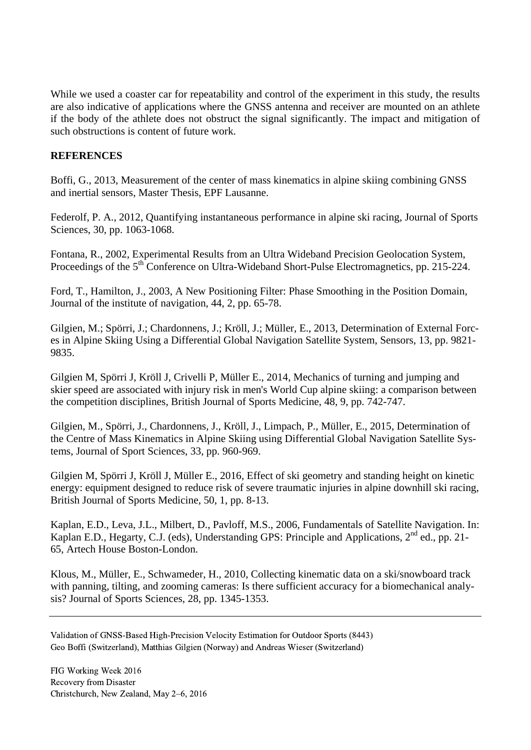While we used a coaster car for repeatability and control of the experiment in this study, the results are also indicative of applications where the GNSS antenna and receiver are mounted on an athlete if the body of the athlete does not obstruct the signal significantly. The impact and mitigation of such obstructions is content of future work.

# **REFERENCES**

Boffi, G., 2013, Measurement of the center of mass kinematics in alpine skiing combining GNSS and inertial sensors, Master Thesis, EPF Lausanne.

Federolf, P. A., 2012, Quantifying instantaneous performance in alpine ski racing, Journal of Sports Sciences, 30, pp. 1063-1068.

Fontana, R., 2002, Experimental Results from an Ultra Wideband Precision Geolocation System, Proceedings of the 5<sup>th</sup> Conference on Ultra-Wideband Short-Pulse Electromagnetics, pp. 215-224.

Ford, T., Hamilton, J., 2003, A New Positioning Filter: Phase Smoothing in the Position Domain, Journal of the institute of navigation, 44, 2, pp. 65-78.

Gilgien, M.; Spörri, J.; Chardonnens, J.; Kröll, J.; Müller, E., 2013, Determination of External Forces in Alpine Skiing Using a Differential Global Navigation Satellite System, Sensors, 13*,* pp. 9821- 9835.

Gilgien M, Spörri J, Kröll J, Crivelli P, Müller E., 2014, Mechanics of turning and jumping and skier speed are associated with injury risk in men's World Cup alpine skiing: a comparison between the competition disciplines, British Journal of Sports Medicine, 48, 9, pp. 742-747.

Gilgien, M., Spörri, J., Chardonnens, J., Kröll, J., Limpach, P., Müller, E., 2015, Determination of the Centre of Mass Kinematics in Alpine Skiing using Differential Global Navigation Satellite Systems, Journal of Sport Sciences, 33, pp. 960-969.

Gilgien M, Spörri J, Kröll J, Müller E., 2016, Effect of ski geometry and standing height on kinetic energy: equipment designed to reduce risk of severe traumatic injuries in alpine downhill ski racing, British Journal of Sports Medicine, 50, 1, pp. 8-13.

Kaplan, E.D., Leva, J.L., Milbert, D., Pavloff, M.S., 2006, Fundamentals of Satellite Navigation. In: Kaplan E.D., Hegarty, C.J. (eds), Understanding GPS: Principle and Applications, 2<sup>nd</sup> ed., pp. 21-65, Artech House Boston-London.

Klous, M., Müller, E., Schwameder, H., 2010, Collecting kinematic data on a ski/snowboard track with panning, tilting, and zooming cameras: Is there sufficient accuracy for a biomechanical analysis? Journal of Sports Sciences, 28, pp. 1345-1353.

Validation of GNSS-Based High-Precision Velocity Estimation for Outdoor Sports (8443) Geo Boffi (Switzerland), Matthias Gilgien (Norway) and Andreas Wieser (Switzerland)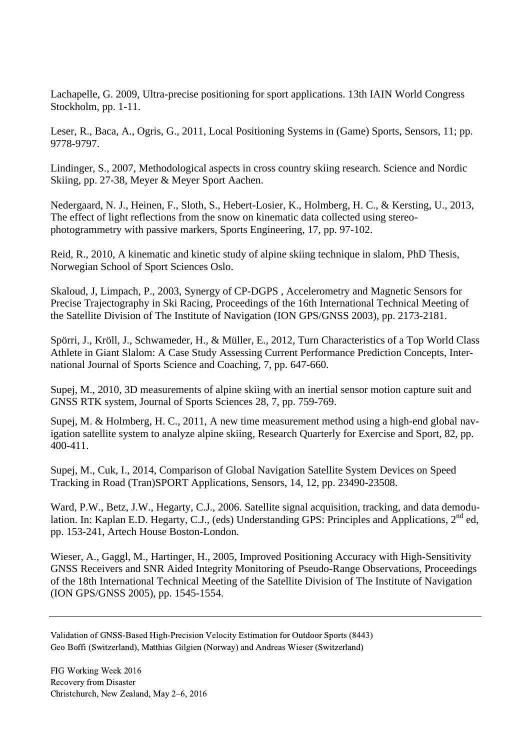Lachapelle, G. 2009, Ultra-precise positioning for sport applications. 13th IAIN World Congress Stockholm, pp. 1-11.

Leser, R., Baca, A., Ogris, G., 2011, Local Positioning Systems in (Game) Sports, Sensors, 11; pp. 9778-9797.

Lindinger, S., 2007, Methodological aspects in cross country skiing research. Science and Nordic Skiing, pp. 27-38, Meyer & Meyer Sport Aachen.

Nedergaard, N. J., Heinen, F., Sloth, S., Hebert-Losier, K., Holmberg, H. C., & Kersting, U., 2013, The effect of light reflections from the snow on kinematic data collected using stereophotogrammetry with passive markers, Sports Engineering, 17, pp. 97-102.

Reid, R., 2010, A kinematic and kinetic study of alpine skiing technique in slalom, PhD Thesis, Norwegian School of Sport Sciences Oslo.

Skaloud, J, Limpach, P., 2003, Synergy of CP-DGPS , Accelerometry and Magnetic Sensors for Precise Trajectography in Ski Racing, Proceedings of the 16th International Technical Meeting of the Satellite Division of The Institute of Navigation (ION GPS/GNSS 2003), pp. 2173-2181.

Spörri, J., Kröll, J., Schwameder, H., & Müller, E., 2012, Turn Characteristics of a Top World Class Athlete in Giant Slalom: A Case Study Assessing Current Performance Prediction Concepts, International Journal of Sports Science and Coaching, 7, pp. 647-660.

Supej, M., 2010, 3D measurements of alpine skiing with an inertial sensor motion capture suit and GNSS RTK system, Journal of Sports Sciences 28, 7, pp. 759-769.

Supej, M. & Holmberg, H. C., 2011, A new time measurement method using a high-end global navigation satellite system to analyze alpine skiing, Research Quarterly for Exercise and Sport, 82, pp. 400-411.

Supej, M., Cuk, I., 2014, Comparison of Global Navigation Satellite System Devices on Speed Tracking in Road (Tran)SPORT Applications, Sensors, 14, 12, pp. 23490-23508.

Ward, P.W., Betz, J.W., Hegarty, C.J., 2006. Satellite signal acquisition, tracking, and data demodulation. In: Kaplan E.D. Hegarty, C.J., (eds) Understanding GPS: Principles and Applications, 2<sup>nd</sup> ed, pp. 153-241, Artech House Boston-London.

Wieser, A., Gaggl, M., Hartinger, H., 2005, Improved Positioning Accuracy with High-Sensitivity GNSS Receivers and SNR Aided Integrity Monitoring of Pseudo-Range Observations, Proceedings of the 18th International Technical Meeting of the Satellite Division of The Institute of Navigation (ION GPS/GNSS 2005), pp. 1545-1554.

Validation of GNSS-Based High-Precision Velocity Estimation for Outdoor Sports (8443) Geo Boffi (Switzerland), Matthias Gilgien (Norway) and Andreas Wieser (Switzerland)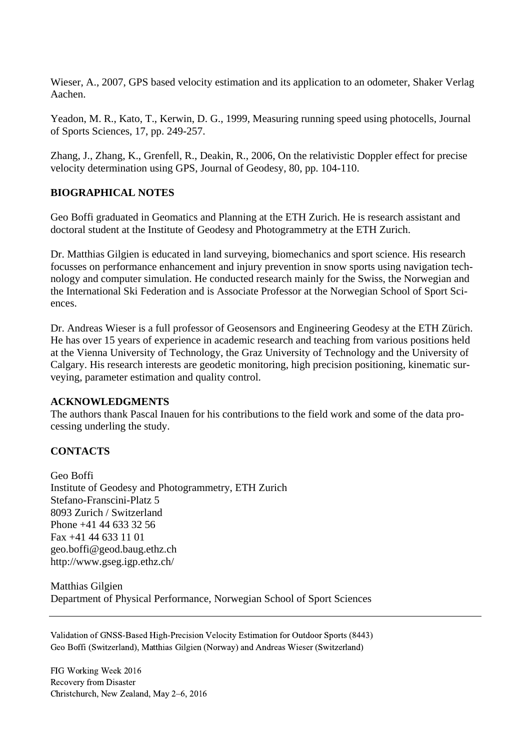Wieser, A., 2007, GPS based velocity estimation and its application to an odometer, Shaker Verlag Aachen.

Yeadon, M. R., Kato, T., Kerwin, D. G., 1999, Measuring running speed using photocells, Journal of Sports Sciences, 17, pp. 249-257.

Zhang, J., Zhang, K., Grenfell, R., Deakin, R., 2006, On the relativistic Doppler effect for precise velocity determination using GPS, Journal of Geodesy, 80, pp. 104-110.

### **BIOGRAPHICAL NOTES**

Geo Boffi graduated in Geomatics and Planning at the ETH Zurich. He is research assistant and doctoral student at the Institute of Geodesy and Photogrammetry at the ETH Zurich.

Dr. Matthias Gilgien is educated in land surveying, biomechanics and sport science. His research focusses on performance enhancement and injury prevention in snow sports using navigation technology and computer simulation. He conducted research mainly for the Swiss, the Norwegian and the International Ski Federation and is Associate Professor at the Norwegian School of Sport Sciences.

Dr. Andreas Wieser is a full professor of Geosensors and Engineering Geodesy at the ETH Zürich. He has over 15 years of experience in academic research and teaching from various positions held at the Vienna University of Technology, the Graz University of Technology and the University of Calgary. His research interests are geodetic monitoring, high precision positioning, kinematic surveying, parameter estimation and quality control.

### **ACKNOWLEDGMENTS**

The authors thank Pascal Inauen for his contributions to the field work and some of the data processing underling the study.

# **CONTACTS**

Geo Boffi Institute of Geodesy and Photogrammetry, ETH Zurich Stefano-Franscini-Platz 5 8093 Zurich / Switzerland Phone +41 44 633 32 56 Fax +41 44 633 11 01 geo.boffi@geod.baug.ethz.ch http://www.gseg.igp.ethz.ch/

Matthias Gilgien Department of Physical Performance, Norwegian School of Sport Sciences

Validation of GNSS-Based High-Precision Velocity Estimation for Outdoor Sports (8443) Geo Boffi (Switzerland), Matthias Gilgien (Norway) and Andreas Wieser (Switzerland)